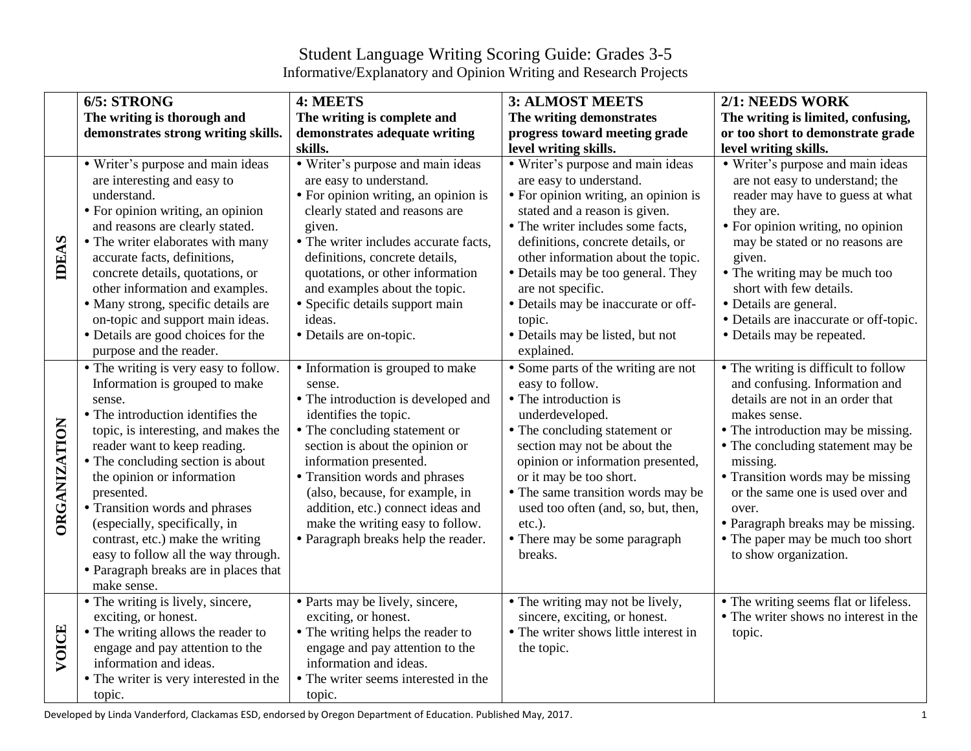## Student Language Writing Scoring Guide: Grades 3-5 Informative/Explanatory and Opinion Writing and Research Projects

|                     | 6/5: STRONG                            | 4: MEETS                              | <b>3: ALMOST MEETS</b>                | 2/1: NEEDS WORK                        |
|---------------------|----------------------------------------|---------------------------------------|---------------------------------------|----------------------------------------|
|                     | The writing is thorough and            | The writing is complete and           | The writing demonstrates              | The writing is limited, confusing,     |
|                     | demonstrates strong writing skills.    | demonstrates adequate writing         | progress toward meeting grade         | or too short to demonstrate grade      |
|                     |                                        | skills.                               | level writing skills.                 | level writing skills.                  |
|                     | • Writer's purpose and main ideas      | • Writer's purpose and main ideas     | • Writer's purpose and main ideas     | • Writer's purpose and main ideas      |
|                     | are interesting and easy to            | are easy to understand.               | are easy to understand.               | are not easy to understand; the        |
|                     | understand.                            | • For opinion writing, an opinion is  | • For opinion writing, an opinion is  | reader may have to guess at what       |
|                     | • For opinion writing, an opinion      | clearly stated and reasons are        | stated and a reason is given.         | they are.                              |
| <b>IDEAS</b>        | and reasons are clearly stated.        | given.                                | • The writer includes some facts,     | • For opinion writing, no opinion      |
|                     | • The writer elaborates with many      | • The writer includes accurate facts, | definitions, concrete details, or     | may be stated or no reasons are        |
|                     | accurate facts, definitions,           | definitions, concrete details,        | other information about the topic.    | given.                                 |
|                     | concrete details, quotations, or       | quotations, or other information      | • Details may be too general. They    | • The writing may be much too          |
|                     | other information and examples.        | and examples about the topic.         | are not specific.                     | short with few details.                |
|                     | · Many strong, specific details are    | • Specific details support main       | • Details may be inaccurate or off-   | · Details are general.                 |
|                     | on-topic and support main ideas.       | ideas.                                | topic.                                | • Details are inaccurate or off-topic. |
|                     | • Details are good choices for the     | • Details are on-topic.               | · Details may be listed, but not      | • Details may be repeated.             |
|                     | purpose and the reader.                |                                       | explained.                            |                                        |
|                     | • The writing is very easy to follow.  | • Information is grouped to make      | • Some parts of the writing are not   | • The writing is difficult to follow   |
|                     | Information is grouped to make         | sense.                                | easy to follow.                       | and confusing. Information and         |
|                     | sense.                                 | • The introduction is developed and   | • The introduction is                 | details are not in an order that       |
|                     | • The introduction identifies the      | identifies the topic.                 | underdeveloped.                       | makes sense.                           |
|                     | topic, is interesting, and makes the   | • The concluding statement or         | • The concluding statement or         | • The introduction may be missing.     |
|                     | reader want to keep reading.           | section is about the opinion or       | section may not be about the          | • The concluding statement may be      |
|                     | • The concluding section is about      | information presented.                | opinion or information presented,     | missing.                               |
|                     | the opinion or information             | • Transition words and phrases        | or it may be too short.               | • Transition words may be missing      |
| <b>ORGANIZATION</b> | presented.                             | (also, because, for example, in       | • The same transition words may be    | or the same one is used over and       |
|                     | • Transition words and phrases         | addition, etc.) connect ideas and     | used too often (and, so, but, then,   | over.                                  |
|                     | (especially, specifically, in          | make the writing easy to follow.      | $etc.$ ).                             | • Paragraph breaks may be missing.     |
|                     | contrast, etc.) make the writing       | • Paragraph breaks help the reader.   | • There may be some paragraph         | • The paper may be much too short      |
|                     | easy to follow all the way through.    |                                       | breaks.                               | to show organization.                  |
|                     | • Paragraph breaks are in places that  |                                       |                                       |                                        |
|                     | make sense.                            |                                       |                                       |                                        |
|                     | • The writing is lively, sincere,      | • Parts may be lively, sincere,       | • The writing may not be lively,      | • The writing seems flat or lifeless.  |
| VOICE               | exciting, or honest.                   | exciting, or honest.                  | sincere, exciting, or honest.         | • The writer shows no interest in the  |
|                     | • The writing allows the reader to     | • The writing helps the reader to     | • The writer shows little interest in | topic.                                 |
|                     | engage and pay attention to the        | engage and pay attention to the       | the topic.                            |                                        |
|                     | information and ideas.                 | information and ideas.                |                                       |                                        |
|                     | • The writer is very interested in the | • The writer seems interested in the  |                                       |                                        |
|                     | topic.                                 | topic.                                |                                       |                                        |

Developed by Linda Vanderford, Clackamas ESD, endorsed by Oregon Department of Education. Published May, 2017.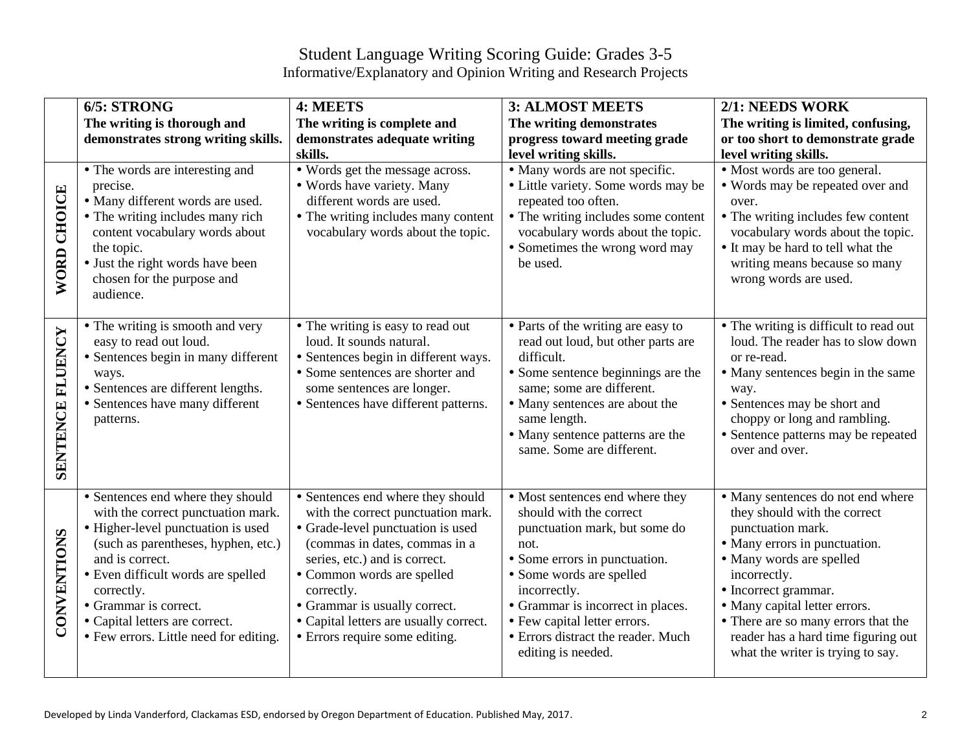## Student Language Writing Scoring Guide: Grades 3-5 Informative/Explanatory and Opinion Writing and Research Projects

|                    | 6/5: STRONG                                                                                                                                                                                                                                                                                                                      | 4: MEETS                                                                                                                                                                                                                                                                                                                                | <b>3: ALMOST MEETS</b>                                                                                                                                                                                                                                                                                            | 2/1: NEEDS WORK                                                                                                                                                                                                                                                                                                                                 |
|--------------------|----------------------------------------------------------------------------------------------------------------------------------------------------------------------------------------------------------------------------------------------------------------------------------------------------------------------------------|-----------------------------------------------------------------------------------------------------------------------------------------------------------------------------------------------------------------------------------------------------------------------------------------------------------------------------------------|-------------------------------------------------------------------------------------------------------------------------------------------------------------------------------------------------------------------------------------------------------------------------------------------------------------------|-------------------------------------------------------------------------------------------------------------------------------------------------------------------------------------------------------------------------------------------------------------------------------------------------------------------------------------------------|
|                    | The writing is thorough and                                                                                                                                                                                                                                                                                                      | The writing is complete and                                                                                                                                                                                                                                                                                                             | The writing demonstrates                                                                                                                                                                                                                                                                                          | The writing is limited, confusing,                                                                                                                                                                                                                                                                                                              |
|                    | demonstrates strong writing skills.                                                                                                                                                                                                                                                                                              | demonstrates adequate writing                                                                                                                                                                                                                                                                                                           | progress toward meeting grade                                                                                                                                                                                                                                                                                     | or too short to demonstrate grade                                                                                                                                                                                                                                                                                                               |
|                    |                                                                                                                                                                                                                                                                                                                                  | skills.                                                                                                                                                                                                                                                                                                                                 | level writing skills.                                                                                                                                                                                                                                                                                             | level writing skills.                                                                                                                                                                                                                                                                                                                           |
| <b>WORD CHOICE</b> | • The words are interesting and<br>precise.<br>· Many different words are used.<br>• The writing includes many rich<br>content vocabulary words about<br>the topic.<br>• Just the right words have been<br>chosen for the purpose and<br>audience.                                                                               | • Words get the message across.<br>· Words have variety. Many<br>different words are used.<br>• The writing includes many content<br>vocabulary words about the topic.                                                                                                                                                                  | • Many words are not specific.<br>• Little variety. Some words may be<br>repeated too often.<br>• The writing includes some content<br>vocabulary words about the topic.<br>• Sometimes the wrong word may<br>be used.                                                                                            | • Most words are too general.<br>• Words may be repeated over and<br>over.<br>• The writing includes few content<br>vocabulary words about the topic.<br>• It may be hard to tell what the<br>writing means because so many<br>wrong words are used.                                                                                            |
| SENTENCE FLUENCY   | • The writing is smooth and very<br>easy to read out loud.<br>• Sentences begin in many different<br>ways.<br>• Sentences are different lengths.<br>• Sentences have many different<br>patterns.                                                                                                                                 | • The writing is easy to read out<br>loud. It sounds natural.<br>· Sentences begin in different ways.<br>• Some sentences are shorter and<br>some sentences are longer.<br>• Sentences have different patterns.                                                                                                                         | • Parts of the writing are easy to<br>read out loud, but other parts are<br>difficult.<br>• Some sentence beginnings are the<br>same; some are different.<br>• Many sentences are about the<br>same length.<br>• Many sentence patterns are the<br>same. Some are different.                                      | • The writing is difficult to read out<br>loud. The reader has to slow down<br>or re-read.<br>• Many sentences begin in the same<br>way.<br>• Sentences may be short and<br>choppy or long and rambling.<br>• Sentence patterns may be repeated<br>over and over.                                                                               |
| CONVENTIONS        | • Sentences end where they should<br>with the correct punctuation mark.<br>• Higher-level punctuation is used<br>(such as parentheses, hyphen, etc.)<br>and is correct.<br>• Even difficult words are spelled<br>correctly.<br>• Grammar is correct.<br>• Capital letters are correct.<br>• Few errors. Little need for editing. | • Sentences end where they should<br>with the correct punctuation mark.<br>• Grade-level punctuation is used<br>(commas in dates, commas in a<br>series, etc.) and is correct.<br>• Common words are spelled<br>correctly.<br>• Grammar is usually correct.<br>• Capital letters are usually correct.<br>• Errors require some editing. | • Most sentences end where they<br>should with the correct<br>punctuation mark, but some do<br>not.<br>• Some errors in punctuation.<br>• Some words are spelled<br>incorrectly.<br>• Grammar is incorrect in places.<br>• Few capital letter errors.<br>• Errors distract the reader. Much<br>editing is needed. | • Many sentences do not end where<br>they should with the correct<br>punctuation mark.<br>• Many errors in punctuation.<br>• Many words are spelled<br>incorrectly.<br>• Incorrect grammar.<br>• Many capital letter errors.<br>• There are so many errors that the<br>reader has a hard time figuring out<br>what the writer is trying to say. |